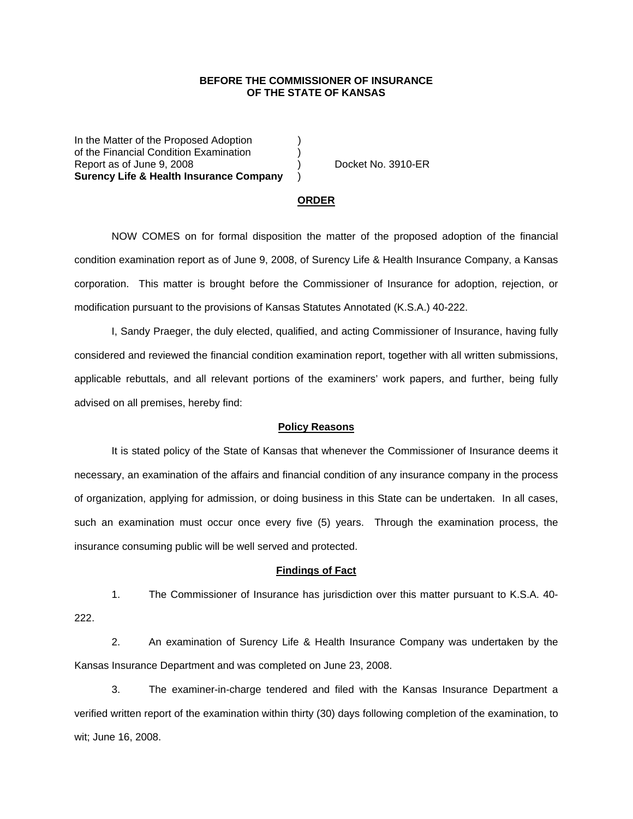## **BEFORE THE COMMISSIONER OF INSURANCE OF THE STATE OF KANSAS**

In the Matter of the Proposed Adoption of the Financial Condition Examination ) Report as of June 9, 2008 (a) Contract No. 3910-ER **Surency Life & Health Insurance Company** )

#### **ORDER**

 NOW COMES on for formal disposition the matter of the proposed adoption of the financial condition examination report as of June 9, 2008, of Surency Life & Health Insurance Company, a Kansas corporation. This matter is brought before the Commissioner of Insurance for adoption, rejection, or modification pursuant to the provisions of Kansas Statutes Annotated (K.S.A.) 40-222.

 I, Sandy Praeger, the duly elected, qualified, and acting Commissioner of Insurance, having fully considered and reviewed the financial condition examination report, together with all written submissions, applicable rebuttals, and all relevant portions of the examiners' work papers, and further, being fully advised on all premises, hereby find:

### **Policy Reasons**

 It is stated policy of the State of Kansas that whenever the Commissioner of Insurance deems it necessary, an examination of the affairs and financial condition of any insurance company in the process of organization, applying for admission, or doing business in this State can be undertaken. In all cases, such an examination must occur once every five (5) years. Through the examination process, the insurance consuming public will be well served and protected.

#### **Findings of Fact**

 1. The Commissioner of Insurance has jurisdiction over this matter pursuant to K.S.A. 40- 222.

 2. An examination of Surency Life & Health Insurance Company was undertaken by the Kansas Insurance Department and was completed on June 23, 2008.

 3. The examiner-in-charge tendered and filed with the Kansas Insurance Department a verified written report of the examination within thirty (30) days following completion of the examination, to wit; June 16, 2008.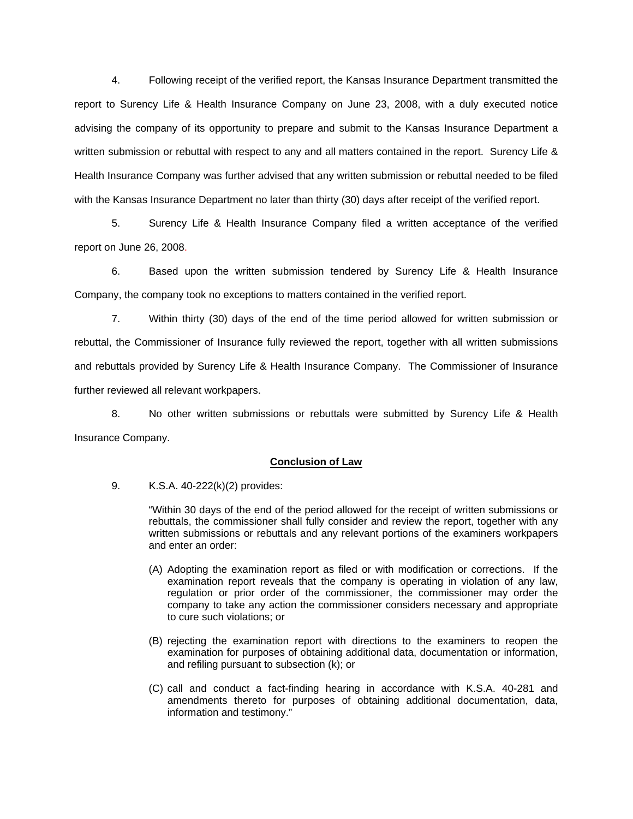4. Following receipt of the verified report, the Kansas Insurance Department transmitted the report to Surency Life & Health Insurance Company on June 23, 2008, with a duly executed notice advising the company of its opportunity to prepare and submit to the Kansas Insurance Department a written submission or rebuttal with respect to any and all matters contained in the report. Surency Life & Health Insurance Company was further advised that any written submission or rebuttal needed to be filed with the Kansas Insurance Department no later than thirty (30) days after receipt of the verified report.

 5. Surency Life & Health Insurance Company filed a written acceptance of the verified report on June 26, 2008.

6. Based upon the written submission tendered by Surency Life & Health Insurance Company, the company took no exceptions to matters contained in the verified report.

 7. Within thirty (30) days of the end of the time period allowed for written submission or rebuttal, the Commissioner of Insurance fully reviewed the report, together with all written submissions and rebuttals provided by Surency Life & Health Insurance Company. The Commissioner of Insurance further reviewed all relevant workpapers.

 8. No other written submissions or rebuttals were submitted by Surency Life & Health Insurance Company.

## **Conclusion of Law**

9. K.S.A. 40-222(k)(2) provides:

"Within 30 days of the end of the period allowed for the receipt of written submissions or rebuttals, the commissioner shall fully consider and review the report, together with any written submissions or rebuttals and any relevant portions of the examiners workpapers and enter an order:

- (A) Adopting the examination report as filed or with modification or corrections. If the examination report reveals that the company is operating in violation of any law, regulation or prior order of the commissioner, the commissioner may order the company to take any action the commissioner considers necessary and appropriate to cure such violations; or
- (B) rejecting the examination report with directions to the examiners to reopen the examination for purposes of obtaining additional data, documentation or information, and refiling pursuant to subsection (k); or
- (C) call and conduct a fact-finding hearing in accordance with K.S.A. 40-281 and amendments thereto for purposes of obtaining additional documentation, data, information and testimony."